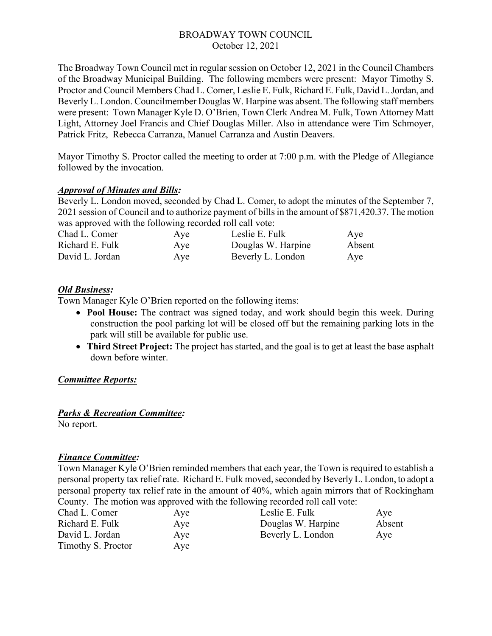## BROADWAY TOWN COUNCIL October 12, 2021

The Broadway Town Council met in regular session on October 12, 2021 in the Council Chambers of the Broadway Municipal Building. The following members were present: Mayor Timothy S. Proctor and Council Members Chad L. Comer, Leslie E. Fulk, Richard E. Fulk, David L. Jordan, and Beverly L. London. Councilmember Douglas W. Harpine was absent. The following staff members were present: Town Manager Kyle D. O'Brien, Town Clerk Andrea M. Fulk, Town Attorney Matt Light, Attorney Joel Francis and Chief Douglas Miller. Also in attendance were Tim Schmoyer, Patrick Fritz, Rebecca Carranza, Manuel Carranza and Austin Deavers.

Mayor Timothy S. Proctor called the meeting to order at 7:00 p.m. with the Pledge of Allegiance followed by the invocation.

## *Approval of Minutes and Bills:*

Beverly L. London moved, seconded by Chad L. Comer, to adopt the minutes of the September 7, 2021 session of Council and to authorize payment of bills in the amount of \$871,420.37. The motion was approved with the following recorded roll call vote:

| Chad L. Comer   | Aye | Leslie E. Fulk     | Aye    |
|-----------------|-----|--------------------|--------|
| Richard E. Fulk | Aye | Douglas W. Harpine | Absent |
| David L. Jordan | Aye | Beverly L. London  | Aye    |

## *Old Business:*

Town Manager Kyle O'Brien reported on the following items:

- **Pool House:** The contract was signed today, and work should begin this week. During construction the pool parking lot will be closed off but the remaining parking lots in the park will still be available for public use.
- **Third Street Project:** The project has started, and the goal is to get at least the base asphalt down before winter.

## *Committee Reports:*

## *Parks & Recreation Committee:*

No report.

## *Finance Committee:*

Town Manager Kyle O'Brien reminded members that each year, the Town is required to establish a personal property tax relief rate. Richard E. Fulk moved, seconded by Beverly L. London, to adopt a personal property tax relief rate in the amount of 40%, which again mirrors that of Rockingham County. The motion was approved with the following recorded roll call vote:

| Chad L. Comer      | Aye | Leslie E. Fulk     | Aye    |
|--------------------|-----|--------------------|--------|
| Richard E. Fulk    | Aye | Douglas W. Harpine | Absent |
| David L. Jordan    | Aye | Beverly L. London  | Aye    |
| Timothy S. Proctor | Aye |                    |        |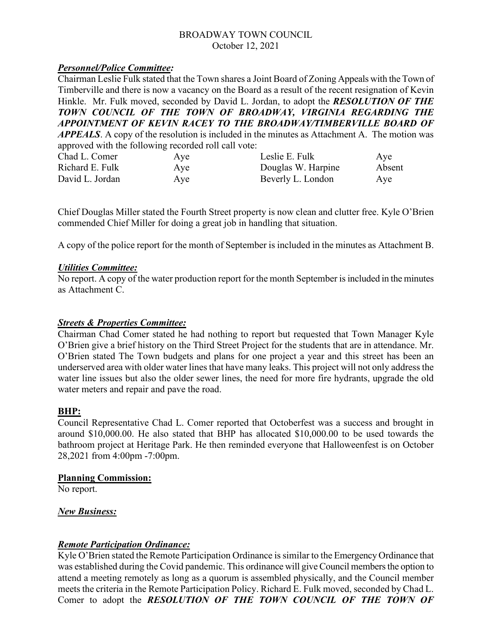## BROADWAY TOWN COUNCIL October 12, 2021

## *Personnel/Police Committee:*

Chairman Leslie Fulk stated that the Town shares a Joint Board of Zoning Appeals with the Town of Timberville and there is now a vacancy on the Board as a result of the recent resignation of Kevin Hinkle. Mr. Fulk moved, seconded by David L. Jordan, to adopt the *RESOLUTION OF THE TOWN COUNCIL OF THE TOWN OF BROADWAY, VIRGINIA REGARDING THE APPOINTMENT OF KEVIN RACEY TO THE BROADWAY/TIMBERVILLE BOARD OF APPEALS*. A copy of the resolution is included in the minutes as Attachment A. The motion was approved with the following recorded roll call vote:

| approved with the following recorded foll call vote. |     |                    |        |
|------------------------------------------------------|-----|--------------------|--------|
| Chad L. Comer                                        | Aye | Leslie E. Fulk     | Ave    |
| Richard E. Fulk                                      | Aye | Douglas W. Harpine | Absent |
| David L. Jordan                                      | Aye | Beverly L. London  | Ave    |

Chief Douglas Miller stated the Fourth Street property is now clean and clutter free. Kyle O'Brien commended Chief Miller for doing a great job in handling that situation.

A copy of the police report for the month of September is included in the minutes as Attachment B.

#### *Utilities Committee:*

No report. A copy of the water production report for the month September is included in the minutes as Attachment C.

#### *Streets & Properties Committee:*

Chairman Chad Comer stated he had nothing to report but requested that Town Manager Kyle O'Brien give a brief history on the Third Street Project for the students that are in attendance. Mr. O'Brien stated The Town budgets and plans for one project a year and this street has been an underserved area with older water lines that have many leaks. This project will not only address the water line issues but also the older sewer lines, the need for more fire hydrants, upgrade the old water meters and repair and pave the road.

#### **BHP:**

Council Representative Chad L. Comer reported that Octoberfest was a success and brought in around \$10,000.00. He also stated that BHP has allocated \$10,000.00 to be used towards the bathroom project at Heritage Park. He then reminded everyone that Halloweenfest is on October 28,2021 from 4:00pm -7:00pm.

#### **Planning Commission:**

No report.

#### *New Business:*

## *Remote Participation Ordinance:*

Kyle O'Brien stated the Remote Participation Ordinance is similar to the Emergency Ordinance that was established during the Covid pandemic. This ordinance will give Council members the option to attend a meeting remotely as long as a quorum is assembled physically, and the Council member meets the criteria in the Remote Participation Policy. Richard E. Fulk moved, seconded by Chad L. Comer to adopt the *RESOLUTION OF THE TOWN COUNCIL OF THE TOWN OF*